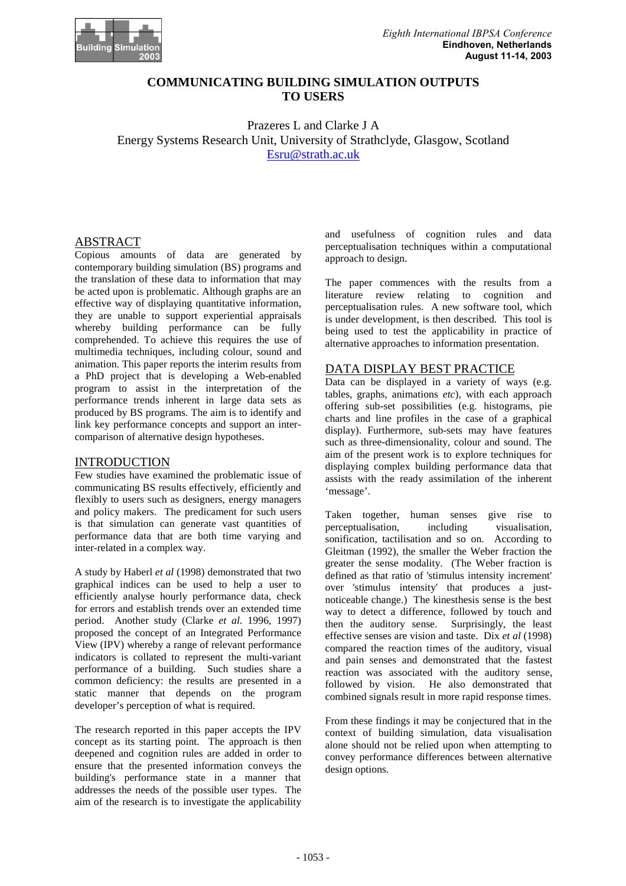

## **COMMUNICATING BUILDING SIMULATION OUTPUTS TO USERS**

Prazeres L and Clarke J A Energy Systems Research Unit, University of Strathclyde, Glasgow, Scotland Esru@strath.ac.uk

## ABSTRACT

Copious amounts of data are generated by contemporary building simulation (BS) programs and the translation of these data to information that may be acted upon is problematic. Although graphs are an effective way of displaying quantitative information, they are unable to support experiential appraisals whereby building performance can be fully comprehended. To achieve this requires the use of multimedia techniques, including colour, sound and animation. This paper reports the interim results from a PhD project that is developing a Web-enabled program to assist in the interpretation of the performance trends inherent in large data sets as produced by BS programs. The aim is to identify and link key performance concepts and support an intercomparison of alternative design hypotheses.

## INTRODUCTION

Few studies have examined the problematic issue of communicating BS results effectively, efficiently and flexibly to users such as designers, energy managers and policy makers. The predicament for such users is that simulation can generate vast quantities of performance data that are both time varying and inter-related in a complex way.

A study by Haberl *et al* (1998) demonstrated that two graphical indices can be used to help a user to efficiently analyse hourly performance data, check for errors and establish trends over an extended time period. Another study (Clarke *et al*. 1996, 1997) proposed the concept of an Integrated Performance View (IPV) whereby a range of relevant performance indicators is collated to represent the multi-variant performance of a building. Such studies share a common deficiency: the results are presented in a static manner that depends on the program developer's perception of what is required.

The research reported in this paper accepts the IPV concept as its starting point. The approach is then deepened and cognition rules are added in order to ensure that the presented information conveys the building's performance state in a manner that addresses the needs of the possible user types. The aim of the research is to investigate the applicability

and usefulness of cognition rules and data perceptualisation techniques within a computational approach to design.

The paper commences with the results from a literature review relating to cognition and perceptualisation rules. A new software tool, which is under development, is then described. This tool is being used to test the applicability in practice of alternative approaches to information presentation.

# DATA DISPLAY BEST PRACTICE

Data can be displayed in a variety of ways (e.g. tables, graphs, animations *etc*), with each approach offering sub-set possibilities (e.g. histograms, pie charts and line profiles in the case of a graphical display). Furthermore, sub-sets may have features such as three-dimensionality, colour and sound. The aim of the present work is to explore techniques for displaying complex building performance data that assists with the ready assimilation of the inherent 'message'.

Taken together, human senses give rise to perceptualisation, including visualisation, sonification, tactilisation and so on. According to Gleitman (1992), the smaller the Weber fraction the greater the sense modality. (The Weber fraction is defined as that ratio of 'stimulus intensity increment' over 'stimulus intensity' that produces a justnoticeable change.) The kinesthesis sense is the best way to detect a difference, followed by touch and then the auditory sense. Surprisingly, the least effective senses are vision and taste. Dix *et al* (1998) compared the reaction times of the auditory, visual and pain senses and demonstrated that the fastest reaction was associated with the auditory sense, followed by vision. He also demonstrated that combined signals result in more rapid response times.

From these findings it may be conjectured that in the context of building simulation, data visualisation alone should not be relied upon when attempting to convey performance differences between alternative design options.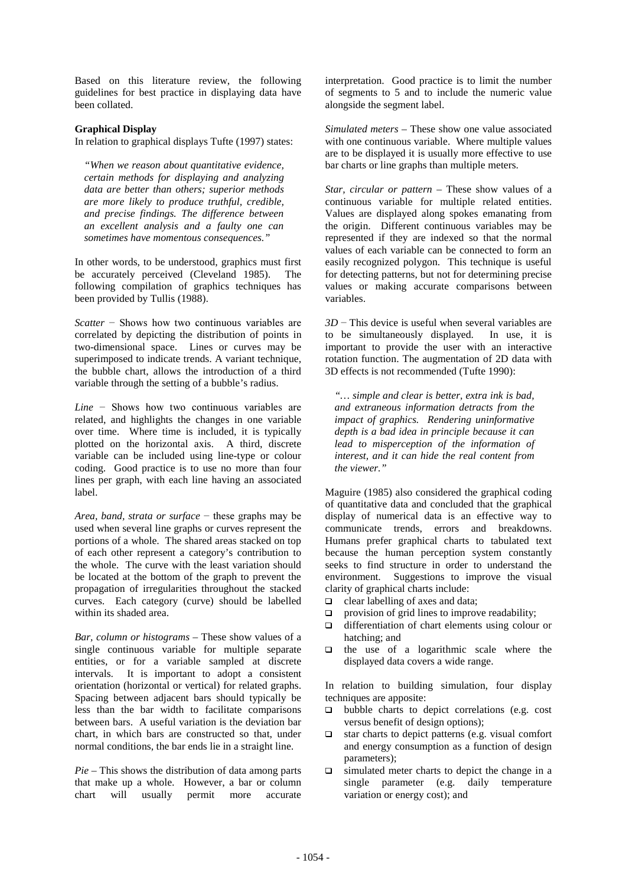Based on this literature review, the following guidelines for best practice in displaying data have been collated.

### **Graphical Display**

In relation to graphical displays Tufte (1997) states:

*"When we reason about quantitative evidence, certain methods for displaying and analyzing data are better than others; superior methods are more likely to produce truthful, credible, and precise findings. The difference between an excellent analysis and a faulty one can sometimes have momentous consequences."*

In other words, to be understood, graphics must first be accurately perceived (Cleveland 1985). The following compilation of graphics techniques has been provided by Tullis (1988).

*Scatter* – Shows how two continuous variables are correlated by depicting the distribution of points in two-dimensional space. Lines or curves may be superimposed to indicate trends. A variant technique, the bubble chart, allows the introduction of a third variable through the setting of a bubble's radius.

*Line* – Shows how two continuous variables are related, and highlights the changes in one variable over time. Where time is included, it is typically plotted on the horizontal axis. A third, discrete variable can be included using line-type or colour coding. Good practice is to use no more than four lines per graph, with each line having an associated label.

*Area, band, strata or surface* – these graphs may be used when several line graphs or curves represent the portions of a whole. The shared areas stacked on top of each other represent a category's contribution to the whole. The curve with the least variation should be located at the bottom of the graph to prevent the propagation of irregularities throughout the stacked curves. Each category (curve) should be labelled within its shaded area.

*Bar, column or histograms* – These show values of a single continuous variable for multiple separate entities, or for a variable sampled at discrete intervals. It is important to adopt a consistent orientation (horizontal or vertical) for related graphs. Spacing between adjacent bars should typically be less than the bar width to facilitate comparisons between bars. A useful variation is the deviation bar chart, in which bars are constructed so that, under normal conditions, the bar ends lie in a straight line.

*Pie* – This shows the distribution of data among parts that make up a whole. However, a bar or column chart will usually permit more accurate

interpretation. Good practice is to limit the number of segments to 5 and to include the numeric value alongside the segment label.

*Simulated meters* – These show one value associated with one continuous variable. Where multiple values are to be displayed it is usually more effective to use bar charts or line graphs than multiple meters.

*Star, circular or pattern* – These show values of a continuous variable for multiple related entities. Values are displayed along spokes emanating from the origin. Different continuous variables may be represented if they are indexed so that the normal values of each variable can be connected to form an easily recognized polygon. This technique is useful for detecting patterns, but not for determining precise values or making accurate comparisons between variables.

 $3D$  – This device is useful when several variables are to be simultaneously displayed. In use, it is important to provide the user with an interactive rotation function. The augmentation of 2D data with 3D effects is not recommended (Tufte 1990):

*"… simple and clear is better, extra ink is bad, and extraneous information detracts from the impact of graphics. Rendering uninformative depth is a bad idea in principle because it can lead to misperception of the information of interest, and it can hide the real content from the viewer."*

Maguire (1985) also considered the graphical coding of quantitative data and concluded that the graphical display of numerical data is an effective way to communicate trends, errors and breakdowns. Humans prefer graphical charts to tabulated text because the human perception system constantly seeks to find structure in order to understand the environment. Suggestions to improve the visual clarity of graphical charts include:

- $\Box$  clear labelling of axes and data;
- $\Box$  provision of grid lines to improve readability;
- $\Box$  differentiation of chart elements using colour or hatching; and
- $\Box$  the use of a logarithmic scale where the displayed data covers a wide range.

In relation to building simulation, four display techniques are apposite:

- $\Box$  bubble charts to depict correlations (e.g. cost versus benefit of design options);
- $\Box$  star charts to depict patterns (e.g. visual comfort and energy consumption as a function of design parameters);
- $\Box$  simulated meter charts to depict the change in a single parameter (e.g. daily temperature variation or energy cost); and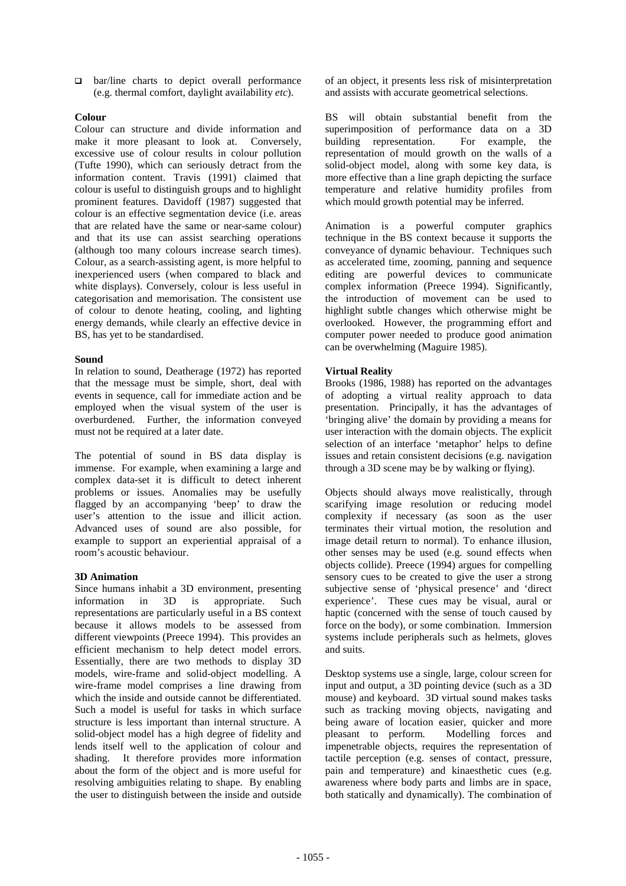$\Box$  bar/line charts to depict overall performance (e.g. thermal comfort, daylight availability *etc*).

## **Colour**

Colour can structure and divide information and make it more pleasant to look at. Conversely, excessive use of colour results in colour pollution (Tufte 1990), which can seriously detract from the information content. Travis (1991) claimed that colour is useful to distinguish groups and to highlight prominent features. Davidoff (1987) suggested that colour is an effective segmentation device (i.e. areas that are related have the same or near-same colour) and that its use can assist searching operations (although too many colours increase search times). Colour, as a search-assisting agent, is more helpful to inexperienced users (when compared to black and white displays). Conversely, colour is less useful in categorisation and memorisation. The consistent use of colour to denote heating, cooling, and lighting energy demands, while clearly an effective device in BS, has yet to be standardised.

## **Sound**

In relation to sound, Deatherage (1972) has reported that the message must be simple, short, deal with events in sequence, call for immediate action and be employed when the visual system of the user is overburdened. Further, the information conveyed must not be required at a later date.

The potential of sound in BS data display is immense. For example, when examining a large and complex data-set it is difficult to detect inherent problems or issues. Anomalies may be usefully flagged by an accompanying 'beep' to draw the user's attention to the issue and illicit action. Advanced uses of sound are also possible, for example to support an experiential appraisal of a room's acoustic behaviour.

## **3D Animation**

Since humans inhabit a 3D environment, presenting information in 3D is appropriate. Such representations are particularly useful in a BS context because it allows models to be assessed from different viewpoints (Preece 1994). This provides an efficient mechanism to help detect model errors. Essentially, there are two methods to display 3D models, wire-frame and solid-object modelling. A wire-frame model comprises a line drawing from which the inside and outside cannot be differentiated. Such a model is useful for tasks in which surface structure is less important than internal structure. A solid-object model has a high degree of fidelity and lends itself well to the application of colour and shading. It therefore provides more information about the form of the object and is more useful for resolving ambiguities relating to shape. By enabling the user to distinguish between the inside and outside

of an object, it presents less risk of misinterpretation and assists with accurate geometrical selections.

BS will obtain substantial benefit from the superimposition of performance data on a 3D building representation. For example, the representation of mould growth on the walls of a solid-object model, along with some key data, is more effective than a line graph depicting the surface temperature and relative humidity profiles from which mould growth potential may be inferred.

Animation is a powerful computer graphics technique in the BS context because it supports the conveyance of dynamic behaviour. Techniques such as accelerated time, zooming, panning and sequence editing are powerful devices to communicate complex information (Preece 1994). Significantly, the introduction of movement can be used to highlight subtle changes which otherwise might be overlooked. However, the programming effort and computer power needed to produce good animation can be overwhelming (Maguire 1985).

## **Virtual Reality**

Brooks (1986, 1988) has reported on the advantages of adopting a virtual reality approach to data presentation. Principally, it has the advantages of 'bringing alive' the domain by providing a means for user interaction with the domain objects. The explicit selection of an interface 'metaphor' helps to define issues and retain consistent decisions (e.g. navigation through a 3D scene may be by walking or flying).

Objects should always move realistically, through scarifying image resolution or reducing model complexity if necessary (as soon as the user terminates their virtual motion, the resolution and image detail return to normal). To enhance illusion, other senses may be used (e.g. sound effects when objects collide). Preece (1994) argues for compelling sensory cues to be created to give the user a strong subjective sense of 'physical presence' and 'direct experience'. These cues may be visual, aural or haptic (concerned with the sense of touch caused by force on the body), or some combination. Immersion systems include peripherals such as helmets, gloves and suits.

Desktop systems use a single, large, colour screen for input and output, a 3D pointing device (such as a 3D mouse) and keyboard. 3D virtual sound makes tasks such as tracking moving objects, navigating and being aware of location easier, quicker and more<br>pleasant to perform. Modelling forces and pleasant to perform. impenetrable objects, requires the representation of tactile perception (e.g. senses of contact, pressure, pain and temperature) and kinaesthetic cues (e.g. awareness where body parts and limbs are in space, both statically and dynamically). The combination of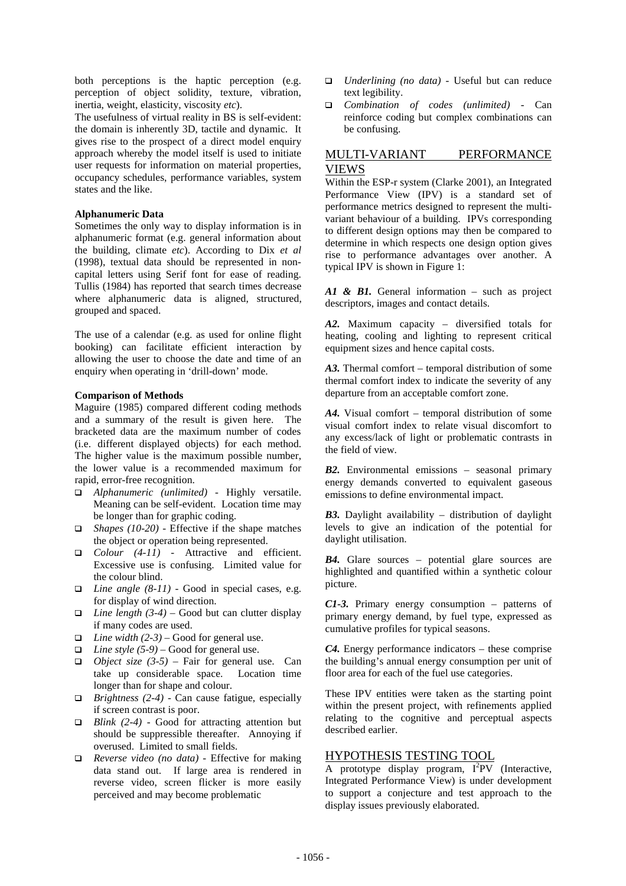both perceptions is the haptic perception (e.g. perception of object solidity, texture, vibration, inertia, weight, elasticity, viscosity *etc*).

The usefulness of virtual reality in BS is self-evident: the domain is inherently 3D, tactile and dynamic. It gives rise to the prospect of a direct model enquiry approach whereby the model itself is used to initiate user requests for information on material properties, occupancy schedules, performance variables, system states and the like.

#### **Alphanumeric Data**

Sometimes the only way to display information is in alphanumeric format (e.g. general information about the building, climate *etc*). According to Dix *et al* (1998), textual data should be represented in noncapital letters using Serif font for ease of reading. Tullis (1984) has reported that search times decrease where alphanumeric data is aligned, structured, grouped and spaced.

The use of a calendar (e.g. as used for online flight booking) can facilitate efficient interaction by allowing the user to choose the date and time of an enquiry when operating in 'drill-down' mode.

#### **Comparison of Methods**

Maguire (1985) compared different coding methods and a summary of the result is given here. The bracketed data are the maximum number of codes (i.e. different displayed objects) for each method. The higher value is the maximum possible number, the lower value is a recommended maximum for rapid, error-free recognition.

- q *Alphanumeric (unlimited)* Highly versatile. Meaning can be self-evident. Location time may be longer than for graphic coding.
- □ *Shapes (10-20)* Effective if the shape matches the object or operation being represented.
- □ *Colour* (4-11) Attractive and efficient. Excessive use is confusing. Limited value for the colour blind.
- $\Box$  *Line angle (8-11)* Good in special cases, e.g. for display of wind direction.
- $\Box$  *Line length* (3-4) Good but can clutter display if many codes are used.
- □ *Line width*  $(2-3)$  Good for general use.
- $\Box$  *Line style* (5-9) Good for general use.
- $\Box$  *Object size* (3-5) Fair for general use. Can take up considerable space. Location time longer than for shape and colour.
- q *Brightness (2-4)* Can cause fatigue, especially if screen contrast is poor.
- q *Blink (2-4)* Good for attracting attention but should be suppressible thereafter. Annoying if overused. Limited to small fields.
- q *Reverse video (no data)* Effective for making data stand out. If large area is rendered in reverse video, screen flicker is more easily perceived and may become problematic
- □ *Underlining (no data)* Useful but can reduce text legibility.
- q *Combination of codes (unlimited)* Can reinforce coding but complex combinations can be confusing.

# MULTI-VARIANT PERFORMANCE VIEWS

Within the ESP-r system (Clarke 2001), an Integrated Performance View (IPV) is a standard set of performance metrics designed to represent the multivariant behaviour of a building. IPVs corresponding to different design options may then be compared to determine in which respects one design option gives rise to performance advantages over another. A typical IPV is shown in Figure 1:

*A1 & B1.* General information – such as project descriptors, images and contact details.

*A2.* Maximum capacity – diversified totals for heating, cooling and lighting to represent critical equipment sizes and hence capital costs.

*A3.* Thermal comfort – temporal distribution of some thermal comfort index to indicate the severity of any departure from an acceptable comfort zone.

*A4.* Visual comfort – temporal distribution of some visual comfort index to relate visual discomfort to any excess/lack of light or problematic contrasts in the field of view.

*B2.* Environmental emissions – seasonal primary energy demands converted to equivalent gaseous emissions to define environmental impact.

*B3.* Daylight availability – distribution of daylight levels to give an indication of the potential for daylight utilisation.

*B4.* Glare sources – potential glare sources are highlighted and quantified within a synthetic colour picture.

*C1-3.* Primary energy consumption – patterns of primary energy demand, by fuel type, expressed as cumulative profiles for typical seasons.

*C4.* Energy performance indicators – these comprise the building's annual energy consumption per unit of floor area for each of the fuel use categories.

These IPV entities were taken as the starting point within the present project, with refinements applied relating to the cognitive and perceptual aspects described earlier.

## HYPOTHESIS TESTING TOOL

A prototype display program,  $I^2PV$  (Interactive, Integrated Performance View) is under development to support a conjecture and test approach to the display issues previously elaborated.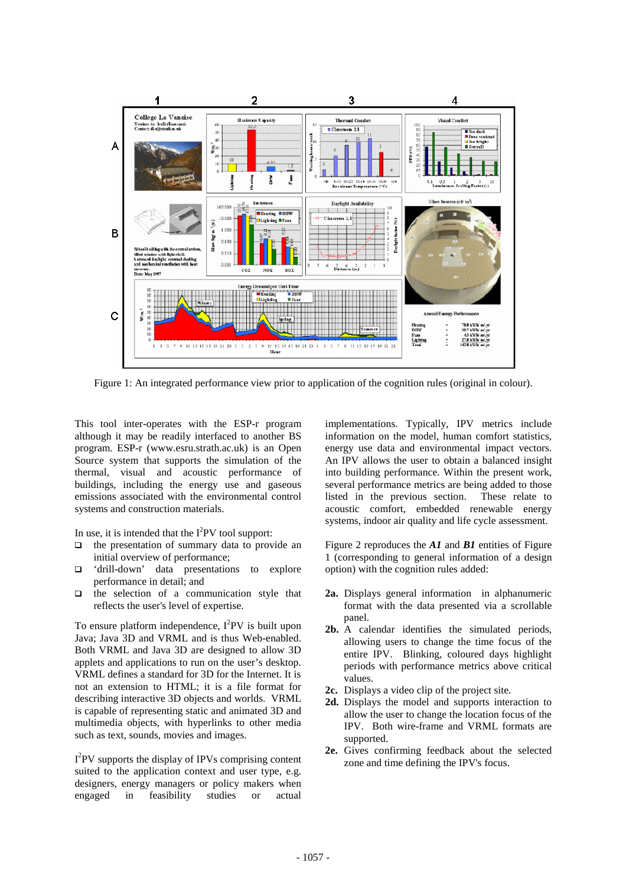

Figure 1: An integrated performance view prior to application of the cognition rules (original in colour).

This tool inter-operates with the ESP-r program although it may be readily interfaced to another BS program. ESP-r (www.esru.strath.ac.uk) is an Open Source system that supports the simulation of the thermal, visual and acoustic performance of buildings, including the energy use and gaseous emissions associated with the environmental control systems and construction materials.

In use, it is intended that the  $I^2PV$  tool support:

- $\Box$  the presentation of summary data to provide an initial overview of performance;
- $\Box$  'drill-down' data presentations to explore performance in detail; and
- $\Box$  the selection of a communication style that reflects the user's level of expertise.

To ensure platform independence,  $I^2$ PV is built upon Java; Java 3D and VRML and is thus Web-enabled. Both VRML and Java 3D are designed to allow 3D applets and applications to run on the user's desktop. VRML defines a standard for 3D for the Internet. It is not an extension to HTML; it is a file format for describing interactive 3D objects and worlds. VRML is capable of representing static and animated 3D and multimedia objects, with hyperlinks to other media such as text, sounds, movies and images.

I<sup>2</sup>PV supports the display of IPVs comprising content suited to the application context and user type, e.g. designers, energy managers or policy makers when engaged in feasibility studies or actual

implementations. Typically, IPV metrics include information on the model, human comfort statistics, energy use data and environmental impact vectors. An IPV allows the user to obtain a balanced insight into building performance. Within the present work, several performance metrics are being added to those listed in the previous section. These relate to acoustic comfort, embedded renewable energy systems, indoor air quality and life cycle assessment.

Figure 2 reproduces the *A1* and *B1* entities of Figure 1 (corresponding to general information of a design option) with the cognition rules added:

- **2a.** Displays general information in alphanumeric format with the data presented via a scrollable panel.
- **2b.** A calendar identifies the simulated periods, allowing users to change the time focus of the entire IPV. Blinking, coloured days highlight periods with performance metrics above critical values.
- **2c.** Displays a video clip of the project site.
- **2d.** Displays the model and supports interaction to allow the user to change the location focus of the IPV. Both wire-frame and VRML formats are supported.
- **2e.** Gives confirming feedback about the selected zone and time defining the IPV's focus.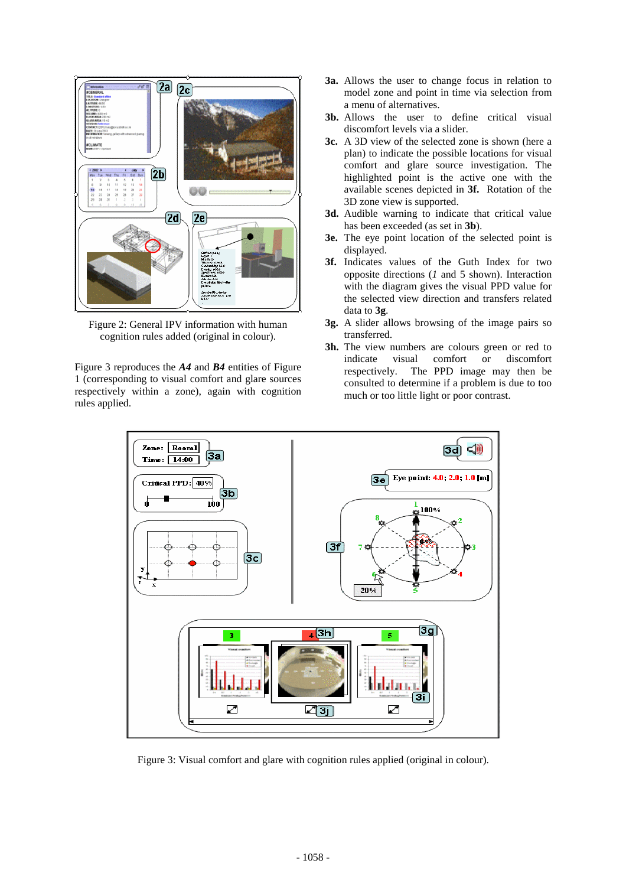

Figure 2: General IPV information with human cognition rules added (original in colour).

Figure 3 reproduces the *A4* and *B4* entities of Figure 1 (corresponding to visual comfort and glare sources respectively within a zone), again with cognition rules applied.

- **3a.** Allows the user to change focus in relation to model zone and point in time via selection from a menu of alternatives.
- **3b.** Allows the user to define critical visual discomfort levels via a slider.
- **3c.** A 3D view of the selected zone is shown (here a plan) to indicate the possible locations for visual comfort and glare source investigation. The highlighted point is the active one with the available scenes depicted in **3f.** Rotation of the 3D zone view is supported.
- **3d.** Audible warning to indicate that critical value has been exceeded (as set in **3b**).
- **3e.** The eye point location of the selected point is displayed.
- **3f.** Indicates values of the Guth Index for two opposite directions (*1* and 5 shown). Interaction with the diagram gives the visual PPD value for the selected view direction and transfers related data to **3g**.
- **3g.** A slider allows browsing of the image pairs so transferred.
- **3h.** The view numbers are colours green or red to indicate visual comfort or discomfort respectively. The PPD image may then be consulted to determine if a problem is due to too much or too little light or poor contrast.



Figure 3: Visual comfort and glare with cognition rules applied (original in colour).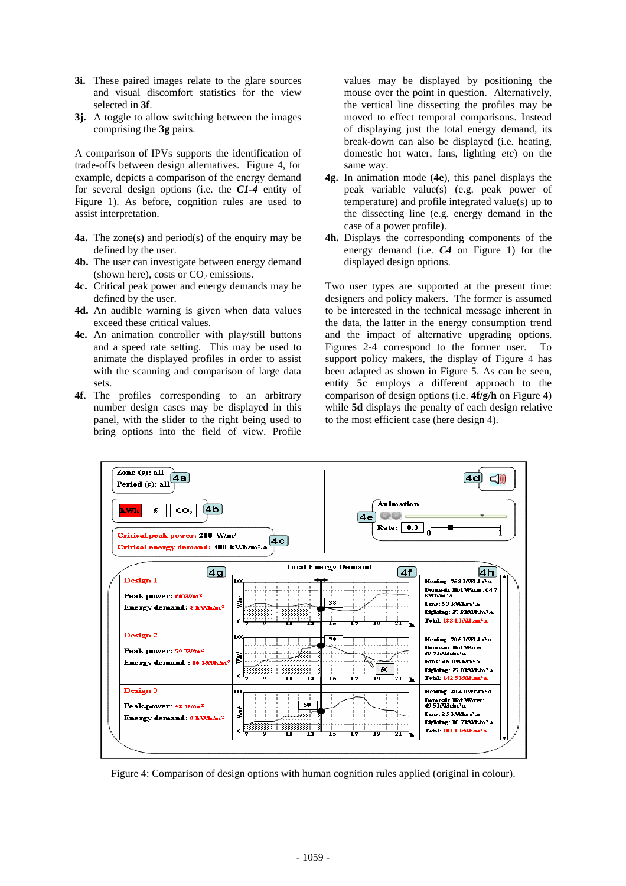- **3i.** These paired images relate to the glare sources and visual discomfort statistics for the view selected in **3f**.
- **3j.** A toggle to allow switching between the images comprising the **3g** pairs.

A comparison of IPVs supports the identification of trade-offs between design alternatives. Figure 4, for example, depicts a comparison of the energy demand for several design options (i.e. the *C1-4* entity of Figure 1). As before, cognition rules are used to assist interpretation.

- **4a.** The zone(s) and period(s) of the enquiry may be defined by the user.
- **4b.** The user can investigate between energy demand (shown here), costs or  $CO<sub>2</sub>$  emissions.
- **4c.** Critical peak power and energy demands may be defined by the user.
- **4d.** An audible warning is given when data values exceed these critical values.
- **4e.** An animation controller with play/still buttons and a speed rate setting. This may be used to animate the displayed profiles in order to assist with the scanning and comparison of large data sets.
- **4f.** The profiles corresponding to an arbitrary number design cases may be displayed in this panel, with the slider to the right being used to bring options into the field of view. Profile

values may be displayed by positioning the mouse over the point in question. Alternatively, the vertical line dissecting the profiles may be moved to effect temporal comparisons. Instead of displaying just the total energy demand, its break-down can also be displayed (i.e. heating, domestic hot water, fans, lighting *etc*) on the same way.

- **4g.** In animation mode (**4e**), this panel displays the peak variable value(s) (e.g. peak power of temperature) and profile integrated value(s) up to the dissecting line (e.g. energy demand in the case of a power profile).
- **4h.** Displays the corresponding components of the energy demand (i.e. *C4* on Figure 1) for the displayed design options.

Two user types are supported at the present time: designers and policy makers. The former is assumed to be interested in the technical message inherent in the data, the latter in the energy consumption trend and the impact of alternative upgrading options. Figures 2-4 correspond to the former user. To support policy makers, the display of Figure 4 has been adapted as shown in Figure 5. As can be seen, entity **5c** employs a different approach to the comparison of design options (i.e. **4f/g/h** on Figure 4) while **5d** displays the penalty of each design relative to the most efficient case (here design 4).



Figure 4: Comparison of design options with human cognition rules applied (original in colour).